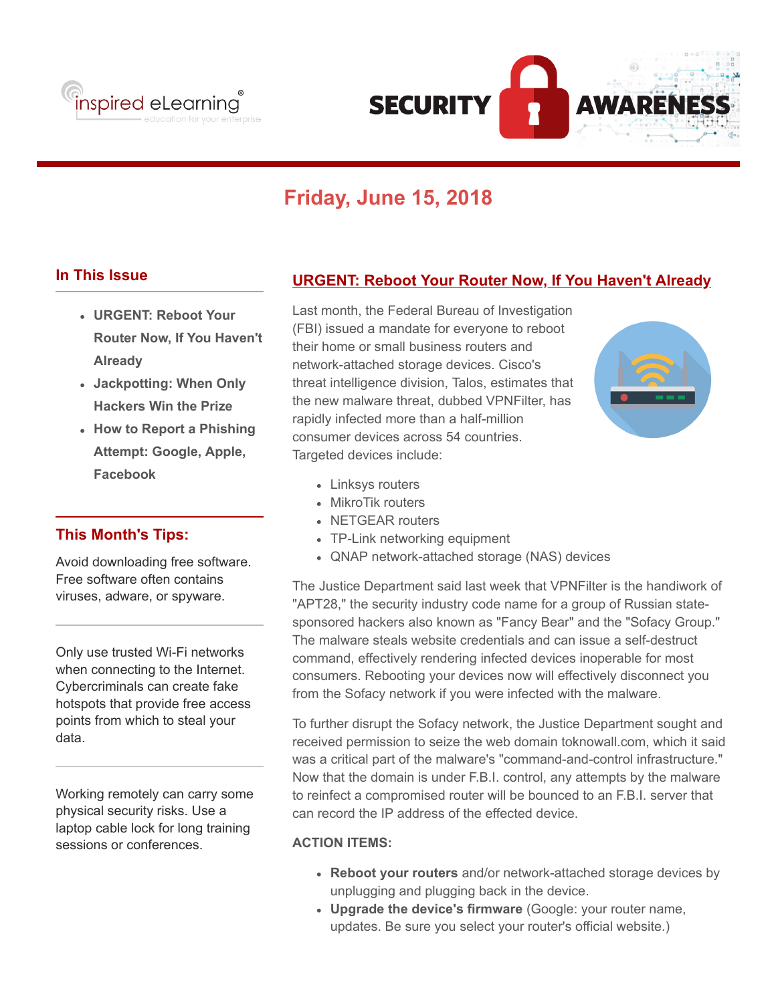



# **Friday, June 15, 2018**

## **In This Issue**

- **URGENT: Reboot Your Router Now, If You Haven't Already**
- **Jackpotting: When Only Hackers Win the Prize**
- **How to Report a Phishing Attempt: Google, Apple, Facebook**

## **This Month's Tips:**

Avoid downloading free software. Free software often contains viruses, adware, or spyware.

Only use trusted Wi-Fi networks when connecting to the Internet. Cybercriminals can create fake hotspots that provide free access points from which to steal your data.

Working remotely can carry some physical security risks. Use a laptop cable lock for long training sessions or conferences.

# **URGENT: Reboot Your Router Now, If You Haven't Already**

Last month, the Federal Bureau of Investigation (FBI) issued a mandate for everyone to reboot their home or small business routers and network-attached storage devices. Cisco's threat intelligence division, Talos, estimates that the new malware threat, dubbed VPNFilter, has rapidly infected more than a half-million consumer devices across 54 countries. Targeted devices include:



- Linksys routers
- MikroTik routers
- NETGEAR routers
- TP-Link networking equipment
- QNAP network-attached storage (NAS) devices

The Justice Department said last week that VPNFilter is the handiwork of "APT28," the security industry code name for a group of Russian statesponsored hackers also known as "Fancy Bear" and the "Sofacy Group." The malware steals website credentials and can issue a self-destruct command, effectively rendering infected devices inoperable for most consumers. Rebooting your devices now will effectively disconnect you from the Sofacy network if you were infected with the malware.

To further disrupt the Sofacy network, the Justice Department sought and received permission to seize the web domain toknowall.com, which it said was a critical part of the malware's "command-and-control infrastructure." Now that the domain is under F.B.I. control, any attempts by the malware to reinfect a compromised router will be bounced to an F.B.I. server that can record the IP address of the effected device.

#### **ACTION ITEMS:**

- **Reboot your routers** and/or network-attached storage devices by unplugging and plugging back in the device.
- **Upgrade the device's firmware** (Google: your router name, updates. Be sure you select your router's official website.)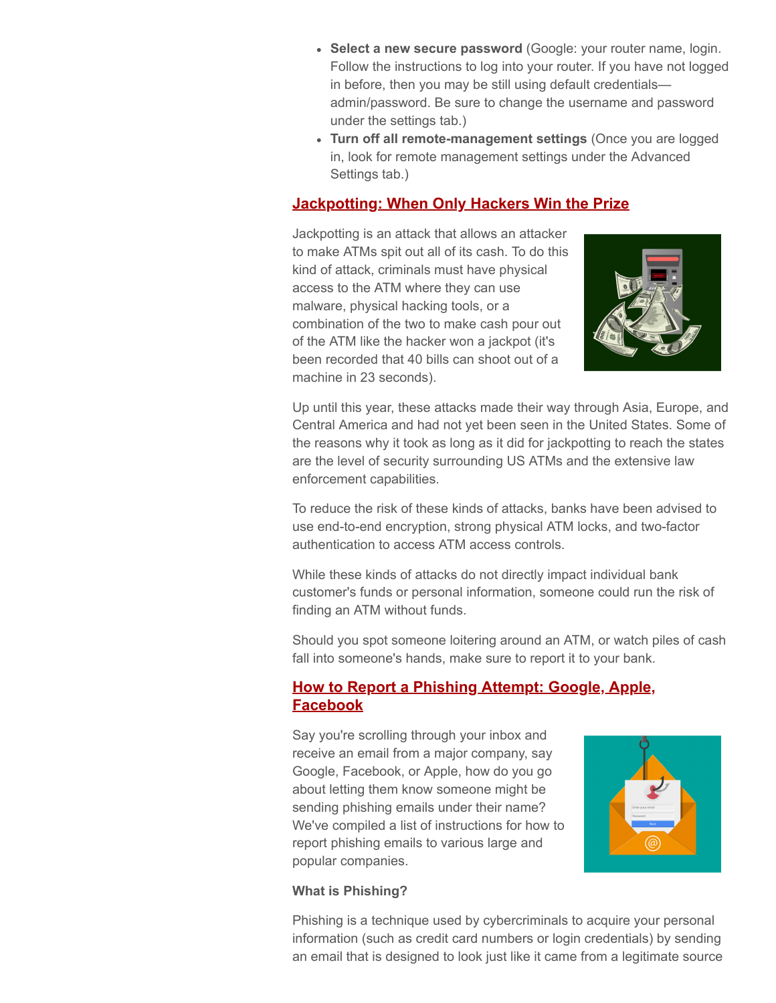- **Select a new secure password** (Google: your router name, login. Follow the instructions to log into your router. If you have not logged in before, then you may be still using default credentials admin/password. Be sure to change the username and password under the settings tab.)
- **Turn off all remote-management settings** (Once you are logged in, look for remote management settings under the Advanced Settings tab.)

# **Jackpotting: When Only Hackers Win the Prize**

Jackpotting is an attack that allows an attacker to make ATMs spit out all of its cash. To do this kind of attack, criminals must have physical access to the ATM where they can use malware, physical hacking tools, or a combination of the two to make cash pour out of the ATM like the hacker won a jackpot (it's been recorded that 40 bills can shoot out of a machine in 23 seconds).



Up until this year, these attacks made their way through Asia, Europe, and Central America and had not yet been seen in the United States. Some of the reasons why it took as long as it did for jackpotting to reach the states are the level of security surrounding US ATMs and the extensive law enforcement capabilities.

To reduce the risk of these kinds of attacks, banks have been advised to use end-to-end encryption, strong physical ATM locks, and two-factor authentication to access ATM access controls.

While these kinds of attacks do not directly impact individual bank customer's funds or personal information, someone could run the risk of finding an ATM without funds.

Should you spot someone loitering around an ATM, or watch piles of cash fall into someone's hands, make sure to report it to your bank.

## **How to Report a Phishing Attempt: Google, Apple, Facebook**

Say you're scrolling through your inbox and receive an email from a major company, say Google, Facebook, or Apple, how do you go about letting them know someone might be sending phishing emails under their name? We've compiled a list of instructions for how to report phishing emails to various large and popular companies.



#### **What is Phishing?**

Phishing is a technique used by cybercriminals to acquire your personal information (such as credit card numbers or login credentials) by sending an email that is designed to look just like it came from a legitimate source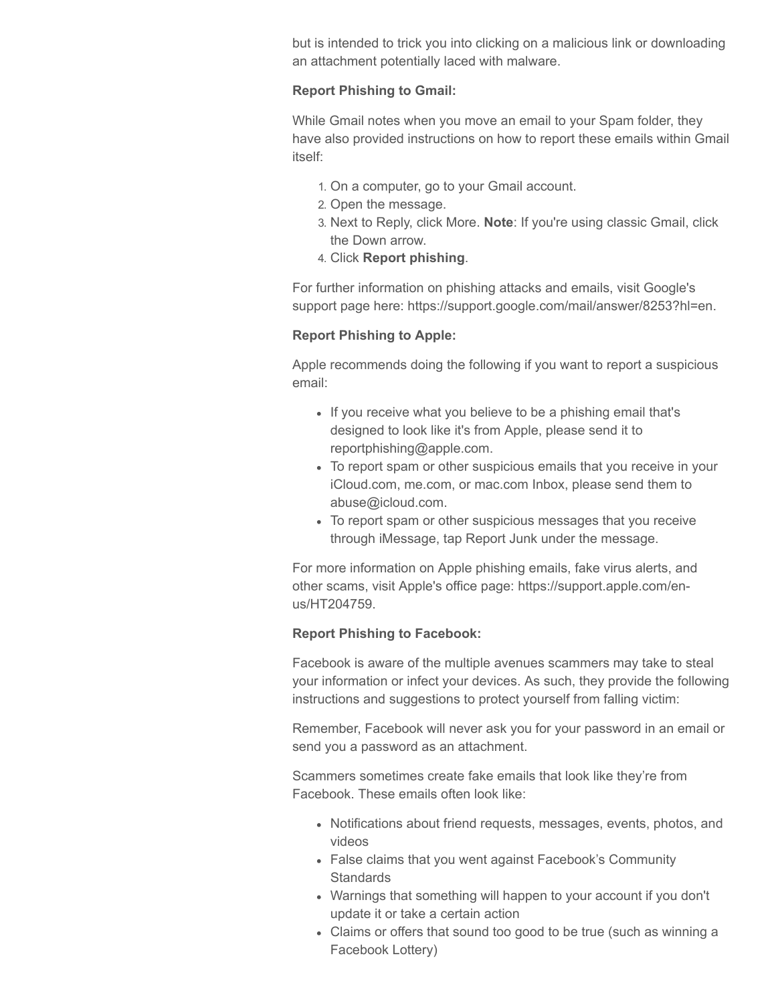but is intended to trick you into clicking on a malicious link or downloading an attachment potentially laced with malware.

#### **Report Phishing to Gmail:**

While Gmail notes when you move an email to your Spam folder, they have also provided instructions on how to report these emails within Gmail itself:

- 1. On a computer, go to your Gmail account.
- 2. Open the message.
- 3. Next to Reply, click More. **Note**: If you're using classic Gmail, click the Down arrow.
- 4. Click **Report phishing**.

For further information on phishing attacks and emails, visit Google's support page here: https://support.google.com/mail/answer/8253?hl=en.

#### **Report Phishing to Apple:**

Apple recommends doing the following if you want to report a suspicious email:

- If you receive what you believe to be a phishing email that's designed to look like it's from Apple, please send it to reportphishing@apple.com.
- To report spam or other suspicious emails that you receive in your iCloud.com, me.com, or mac.com Inbox, please send them to abuse@icloud.com.
- To report spam or other suspicious messages that you receive through iMessage, tap Report Junk under the message.

For more information on Apple phishing emails, fake virus alerts, and other scams, visit Apple's office page: https://support.apple.com/enus/HT204759.

#### **Report Phishing to Facebook:**

Facebook is aware of the multiple avenues scammers may take to steal your information or infect your devices. As such, they provide the following instructions and suggestions to protect yourself from falling victim:

Remember, Facebook will never ask you for your password in an email or send you a password as an attachment.

Scammers sometimes create fake emails that look like they're from Facebook. These emails often look like:

- Notifications about friend requests, messages, events, photos, and videos
- False claims that you went against Facebook's Community **Standards**
- Warnings that something will happen to your account if you don't update it or take a certain action
- Claims or offers that sound too good to be true (such as winning a Facebook Lottery)